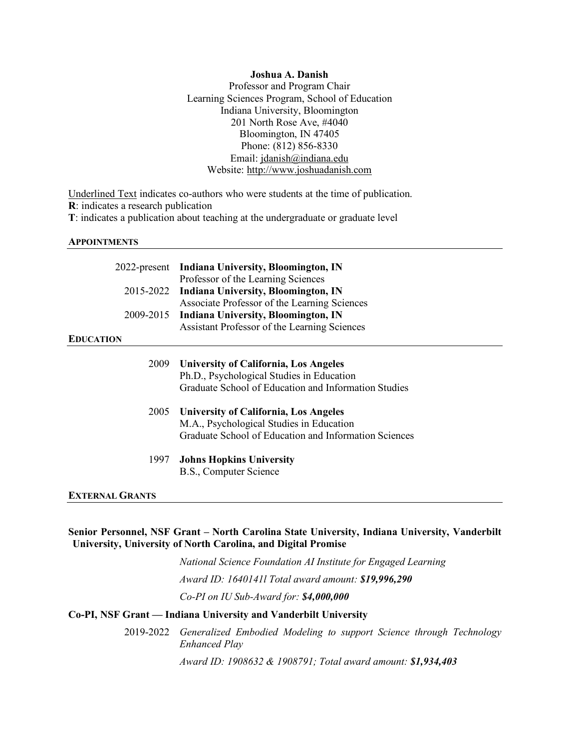### **Joshua A. Danish**

Professor and Program Chair Learning Sciences Program, School of Education Indiana University, Bloomington 201 North Rose Ave, #4040 Bloomington, IN 47405 Phone: (812) 856-8330 Email: jdanish@indiana.edu Website: http://www.joshuadanish.com

Underlined Text indicates co-authors who were students at the time of publication.

**R**: indicates a research publication

**T**: indicates a publication about teaching at the undergraduate or graduate level

### **APPOINTMENTS**

|                        | 2022-present Indiana University, Bloomington, IN      |
|------------------------|-------------------------------------------------------|
|                        | Professor of the Learning Sciences                    |
|                        | 2015-2022 Indiana University, Bloomington, IN         |
|                        | Associate Professor of the Learning Sciences          |
| 2009-2015              | <b>Indiana University, Bloomington, IN</b>            |
|                        | Assistant Professor of the Learning Sciences          |
| <b>EDUCATION</b>       |                                                       |
|                        |                                                       |
| 2009                   | <b>University of California, Los Angeles</b>          |
|                        | Ph.D., Psychological Studies in Education             |
|                        | Graduate School of Education and Information Studies  |
| 2005                   | <b>University of California, Los Angeles</b>          |
|                        | M.A., Psychological Studies in Education              |
|                        | Graduate School of Education and Information Sciences |
| 1997                   | <b>Johns Hopkins University</b>                       |
|                        | B.S., Computer Science                                |
| <b>EXTERNAL GRANTS</b> |                                                       |

# **Senior Personnel, NSF Grant – North Carolina State University, Indiana University, Vanderbilt University, University of North Carolina, and Digital Promise**

*National Science Foundation AI Institute for Engaged Learning Award ID: 1640141l Total award amount: \$19,996,290 Co-PI on IU Sub-Award for: \$4,000,000*

# **Co-PI, NSF Grant — Indiana University and Vanderbilt University**

2019-2022 *Generalized Embodied Modeling to support Science through Technology Enhanced Play*

*Award ID: 1908632 & 1908791; Total award amount: \$1,934,403*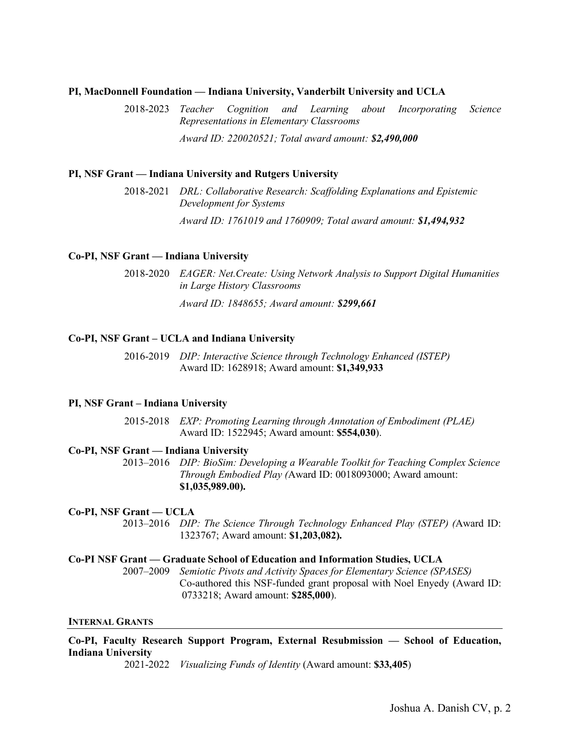## **PI, MacDonnell Foundation — Indiana University, Vanderbilt University and UCLA**

2018-2023 *Teacher Cognition and Learning about Incorporating Science Representations in Elementary Classrooms Award ID: 220020521; Total award amount: \$2,490,000*

# **PI, NSF Grant — Indiana University and Rutgers University**

2018-2021 *DRL: Collaborative Research: Scaffolding Explanations and Epistemic Development for Systems Award ID: 1761019 and 1760909; Total award amount: \$1,494,932*

# **Co-PI, NSF Grant — Indiana University**

2018-2020 *EAGER: Net.Create: Using Network Analysis to Support Digital Humanities in Large History Classrooms*

*Award ID: 1848655; Award amount: \$299,661*

# **Co-PI, NSF Grant – UCLA and Indiana University**

2016-2019 *DIP: Interactive Science through Technology Enhanced (ISTEP)*  Award ID: 1628918; Award amount: **\$1,349,933**

## **PI, NSF Grant – Indiana University**

2015-2018 *EXP: Promoting Learning through Annotation of Embodiment (PLAE)*  Award ID: 1522945; Award amount: **\$554,030**).

# **Co-PI, NSF Grant — Indiana University**

2013–2016 *DIP: BioSim: Developing a Wearable Toolkit for Teaching Complex Science Through Embodied Play (*Award ID: 0018093000; Award amount: **\$1,035,989.00).**

## **Co-PI, NSF Grant — UCLA**

2013–2016 *DIP: The Science Through Technology Enhanced Play (STEP) (*Award ID: 1323767; Award amount: **\$1,203,082).**

### **Co-PI NSF Grant — Graduate School of Education and Information Studies, UCLA**

2007–2009 *Semiotic Pivots and Activity Spaces for Elementary Science (SPASES)* Co-authored this NSF-funded grant proposal with Noel Enyedy (Award ID: 0733218; Award amount: **\$285,000**).

### **INTERNAL GRANTS**

**Co-PI, Faculty Research Support Program, External Resubmission — School of Education, Indiana University**

2021-2022 *Visualizing Funds of Identity* (Award amount: **\$33,405**)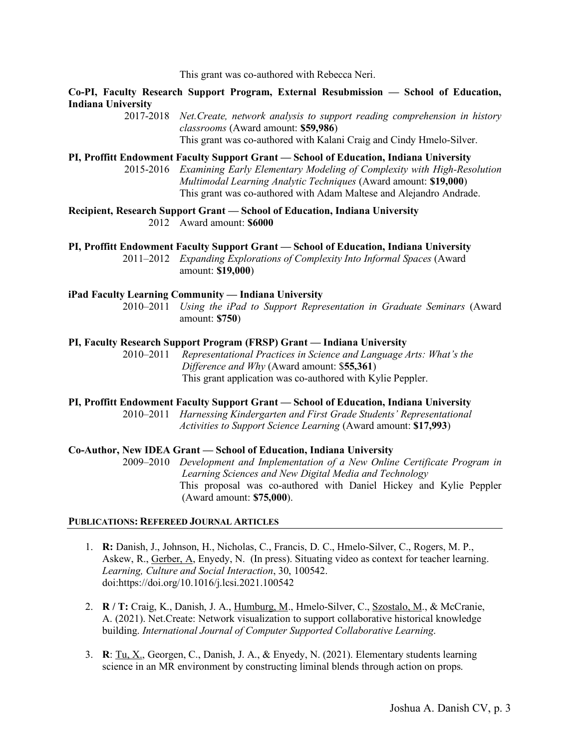This grant was co-authored with Rebecca Neri.

**Co-PI, Faculty Research Support Program, External Resubmission — School of Education, Indiana University**

> 2017-2018 *Net.Create, network analysis to support reading comprehension in history classrooms* (Award amount: **\$59,986**) This grant was co-authored with Kalani Craig and Cindy Hmelo-Silver.

**PI, Proffitt Endowment Faculty Support Grant — School of Education, Indiana University**

2015-2016 *Examining Early Elementary Modeling of Complexity with High-Resolution Multimodal Learning Analytic Techniques* (Award amount: **\$19,000**) This grant was co-authored with Adam Maltese and Alejandro Andrade.

**Recipient, Research Support Grant — School of Education, Indiana University** 2012 Award amount: **\$6000**

**PI, Proffitt Endowment Faculty Support Grant — School of Education, Indiana University**

2011–2012 *Expanding Explorations of Complexity Into Informal Spaces* (Award amount: **\$19,000**)

#### **iPad Faculty Learning Community — Indiana University**

2010–2011 *Using the iPad to Support Representation in Graduate Seminars* (Award amount: **\$750**)

# **PI, Faculty Research Support Program (FRSP) Grant — Indiana University**

2010–2011 *Representational Practices in Science and Language Arts: What's the Difference and Why* (Award amount: \$**55,361**) This grant application was co-authored with Kylie Peppler.

#### **PI, Proffitt Endowment Faculty Support Grant — School of Education, Indiana University**

2010–2011 *Harnessing Kindergarten and First Grade Students' Representational Activities to Support Science Learning* (Award amount: **\$17,993**)

## **Co-Author, New IDEA Grant — School of Education, Indiana University**

2009–2010 *Development and Implementation of a New Online Certificate Program in Learning Sciences and New Digital Media and Technology*  This proposal was co-authored with Daniel Hickey and Kylie Peppler (Award amount: **\$75,000**).

#### **PUBLICATIONS: REFEREED JOURNAL ARTICLES**

- 1. **R:** Danish, J., Johnson, H., Nicholas, C., Francis, D. C., Hmelo-Silver, C., Rogers, M. P., Askew, R., Gerber, A, Enyedy, N. (In press). Situating video as context for teacher learning. *Learning, Culture and Social Interaction*, 30, 100542. doi:https://doi.org/10.1016/j.lcsi.2021.100542
- 2. **R / T:** Craig, K., Danish, J. A., Humburg, M., Hmelo-Silver, C., Szostalo, M., & McCranie, A. (2021). Net.Create: Network visualization to support collaborative historical knowledge building. *International Journal of Computer Supported Collaborative Learning*.
- 3. **R**: Tu, X., Georgen, C., Danish, J. A., & Enyedy, N. (2021). Elementary students learning science in an MR environment by constructing liminal blends through action on props.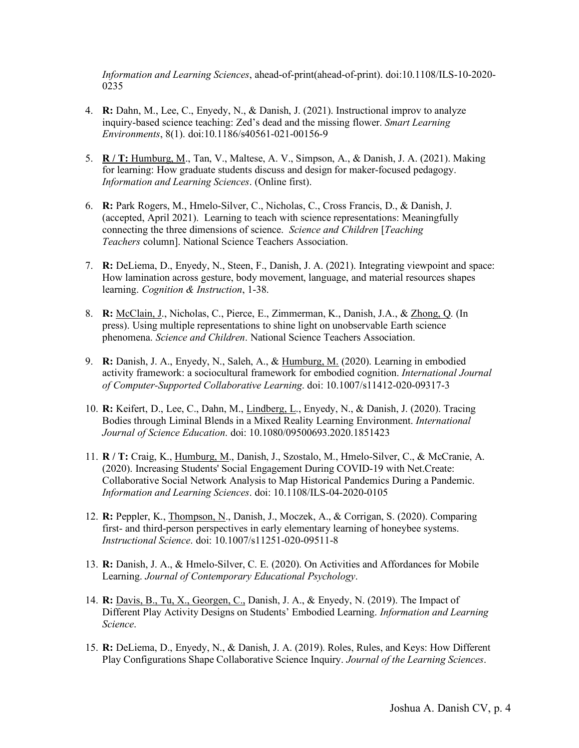*Information and Learning Sciences*, ahead-of-print(ahead-of-print). doi:10.1108/ILS-10-2020- 0235

- 4. **R:** Dahn, M., Lee, C., Enyedy, N., & Danish, J. (2021). Instructional improv to analyze inquiry-based science teaching: Zed's dead and the missing flower. *Smart Learning Environments*, 8(1). doi:10.1186/s40561-021-00156-9
- 5. **R / T:** Humburg, M., Tan, V., Maltese, A. V., Simpson, A., & Danish, J. A. (2021). Making for learning: How graduate students discuss and design for maker-focused pedagogy. *Information and Learning Sciences*. (Online first).
- 6. **R:** Park Rogers, M., Hmelo-Silver, C., Nicholas, C., Cross Francis, D., & Danish, J. (accepted, April 2021). Learning to teach with science representations: Meaningfully connecting the three dimensions of science. *Science and Children* [*Teaching Teachers* column]. National Science Teachers Association.
- 7. **R:** DeLiema, D., Enyedy, N., Steen, F., Danish, J. A. (2021). Integrating viewpoint and space: How lamination across gesture, body movement, language, and material resources shapes learning. *Cognition & Instruction*, 1-38.
- 8. **R:** McClain, J., Nicholas, C., Pierce, E., Zimmerman, K., Danish, J.A., & Zhong, Q. (In press). Using multiple representations to shine light on unobservable Earth science phenomena. *Science and Children*. National Science Teachers Association.
- 9. **R:** Danish, J. A., Enyedy, N., Saleh, A., & Humburg, M. (2020). Learning in embodied activity framework: a sociocultural framework for embodied cognition. *International Journal of Computer-Supported Collaborative Learning*. doi: 10.1007/s11412-020-09317-3
- 10. **R:** Keifert, D., Lee, C., Dahn, M., Lindberg, L., Enyedy, N., & Danish, J. (2020). Tracing Bodies through Liminal Blends in a Mixed Reality Learning Environment. *International Journal of Science Education*. doi: 10.1080/09500693.2020.1851423
- 11. **R / T:** Craig, K., Humburg, M., Danish, J., Szostalo, M., Hmelo-Silver, C., & McCranie, A. (2020). Increasing Students' Social Engagement During COVID-19 with Net.Create: Collaborative Social Network Analysis to Map Historical Pandemics During a Pandemic. *Information and Learning Sciences*. doi: 10.1108/ILS-04-2020-0105
- 12. **R:** Peppler, K., Thompson, N., Danish, J., Moczek, A., & Corrigan, S. (2020). Comparing first- and third-person perspectives in early elementary learning of honeybee systems. *Instructional Science*. doi: 10.1007/s11251-020-09511-8
- 13. **R:** Danish, J. A., & Hmelo-Silver, C. E. (2020). On Activities and Affordances for Mobile Learning. *Journal of Contemporary Educational Psychology*.
- 14. **R:** Davis, B., Tu, X., Georgen, C., Danish, J. A., & Enyedy, N. (2019). The Impact of Different Play Activity Designs on Students' Embodied Learning. *Information and Learning Science*.
- 15. **R:** DeLiema, D., Enyedy, N., & Danish, J. A. (2019). Roles, Rules, and Keys: How Different Play Configurations Shape Collaborative Science Inquiry. *Journal of the Learning Sciences*.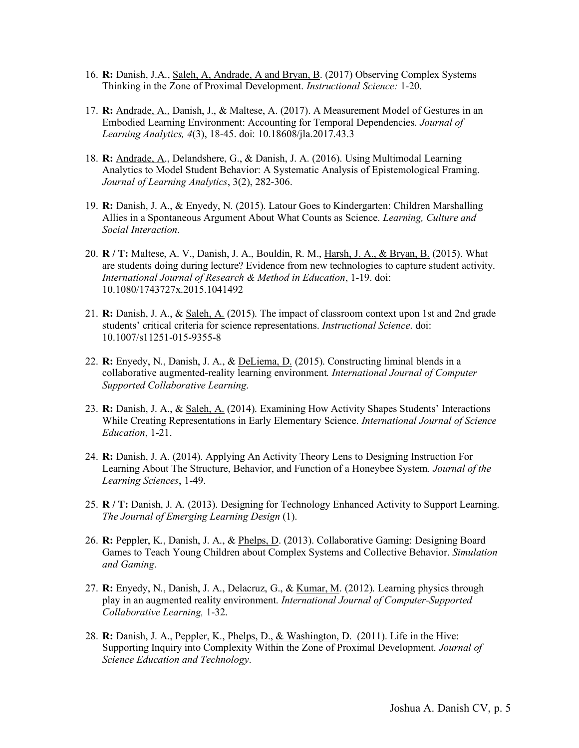- 16. **R:** Danish, J.A., Saleh, A, Andrade, A and Bryan, B. (2017) Observing Complex Systems Thinking in the Zone of Proximal Development. *Instructional Science:* 1-20.
- 17. **R:** Andrade, A., Danish, J., & Maltese, A. (2017). A Measurement Model of Gestures in an Embodied Learning Environment: Accounting for Temporal Dependencies. *Journal of Learning Analytics, 4*(3), 18-45. doi: 10.18608/jla.2017.43.3
- 18. **R:** Andrade, A., Delandshere, G., & Danish, J. A. (2016). Using Multimodal Learning Analytics to Model Student Behavior: A Systematic Analysis of Epistemological Framing. *Journal of Learning Analytics*, 3(2), 282-306.
- 19. **R:** Danish, J. A., & Enyedy, N. (2015). Latour Goes to Kindergarten: Children Marshalling Allies in a Spontaneous Argument About What Counts as Science. *Learning, Culture and Social Interaction*.
- 20. **R / T:** Maltese, A. V., Danish, J. A., Bouldin, R. M., Harsh, J. A., & Bryan, B. (2015). What are students doing during lecture? Evidence from new technologies to capture student activity. *International Journal of Research & Method in Education*, 1-19. doi: 10.1080/1743727x.2015.1041492
- 21. **R:** Danish, J. A., & Saleh, A. (2015). The impact of classroom context upon 1st and 2nd grade students' critical criteria for science representations. *Instructional Science*. doi: 10.1007/s11251-015-9355-8
- 22. **R:** Enyedy, N., Danish, J. A., & DeLiema, D. (2015). Constructing liminal blends in a collaborative augmented-reality learning environment*. International Journal of Computer Supported Collaborative Learning*.
- 23. **R:** Danish, J. A., & Saleh, A. (2014). Examining How Activity Shapes Students' Interactions While Creating Representations in Early Elementary Science. *International Journal of Science Education*, 1-21.
- 24. **R:** Danish, J. A. (2014). Applying An Activity Theory Lens to Designing Instruction For Learning About The Structure, Behavior, and Function of a Honeybee System. *Journal of the Learning Sciences*, 1-49.
- 25. **R / T:** Danish, J. A. (2013). Designing for Technology Enhanced Activity to Support Learning. *The Journal of Emerging Learning Design* (1).
- 26. **R:** Peppler, K., Danish, J. A., & Phelps, D. (2013). Collaborative Gaming: Designing Board Games to Teach Young Children about Complex Systems and Collective Behavior. *Simulation and Gaming*.
- 27. **R:** Enyedy, N., Danish, J. A., Delacruz, G., & Kumar, M. (2012). Learning physics through play in an augmented reality environment. *International Journal of Computer-Supported Collaborative Learning,* 1-32.
- 28. **R:** Danish, J. A., Peppler, K., Phelps, D., & Washington, D. (2011). Life in the Hive: Supporting Inquiry into Complexity Within the Zone of Proximal Development. *Journal of Science Education and Technology*.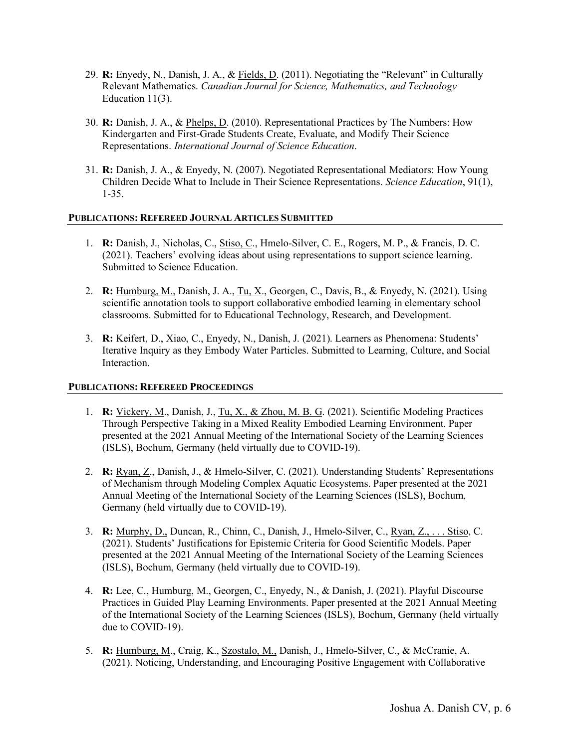- 29. **R:** Enyedy, N., Danish, J. A., & Fields, D. (2011). Negotiating the "Relevant" in Culturally Relevant Mathematics. *Canadian Journal for Science, Mathematics, and Technology* Education 11(3).
- 30. **R:** Danish, J. A., & Phelps, D. (2010). Representational Practices by The Numbers: How Kindergarten and First-Grade Students Create, Evaluate, and Modify Their Science Representations. *International Journal of Science Education*.
- 31. **R:** Danish, J. A., & Enyedy, N. (2007). Negotiated Representational Mediators: How Young Children Decide What to Include in Their Science Representations. *Science Education*, 91(1), 1-35.

# **PUBLICATIONS: REFEREED JOURNAL ARTICLES SUBMITTED**

- 1. **R:** Danish, J., Nicholas, C., Stiso, C., Hmelo-Silver, C. E., Rogers, M. P., & Francis, D. C. (2021). Teachers' evolving ideas about using representations to support science learning. Submitted to Science Education.
- 2. **R:** Humburg, M., Danish, J. A., Tu, X., Georgen, C., Davis, B., & Enyedy, N. (2021). Using scientific annotation tools to support collaborative embodied learning in elementary school classrooms. Submitted for to Educational Technology, Research, and Development.
- 3. **R:** Keifert, D., Xiao, C., Enyedy, N., Danish, J. (2021). Learners as Phenomena: Students' Iterative Inquiry as they Embody Water Particles. Submitted to Learning, Culture, and Social Interaction.

# **PUBLICATIONS: REFEREED PROCEEDINGS**

- 1. **R:** Vickery, M., Danish, J., Tu, X., & Zhou, M. B. G. (2021). Scientific Modeling Practices Through Perspective Taking in a Mixed Reality Embodied Learning Environment. Paper presented at the 2021 Annual Meeting of the International Society of the Learning Sciences (ISLS), Bochum, Germany (held virtually due to COVID-19).
- 2. **R:** Ryan, Z., Danish, J., & Hmelo-Silver, C. (2021). Understanding Students' Representations of Mechanism through Modeling Complex Aquatic Ecosystems. Paper presented at the 2021 Annual Meeting of the International Society of the Learning Sciences (ISLS), Bochum, Germany (held virtually due to COVID-19).
- 3. **R:** Murphy, D., Duncan, R., Chinn, C., Danish, J., Hmelo-Silver, C., Ryan, Z., . . . Stiso, C. (2021). Students' Justifications for Epistemic Criteria for Good Scientific Models. Paper presented at the 2021 Annual Meeting of the International Society of the Learning Sciences (ISLS), Bochum, Germany (held virtually due to COVID-19).
- 4. **R:** Lee, C., Humburg, M., Georgen, C., Enyedy, N., & Danish, J. (2021). Playful Discourse Practices in Guided Play Learning Environments. Paper presented at the 2021 Annual Meeting of the International Society of the Learning Sciences (ISLS), Bochum, Germany (held virtually due to COVID-19).
- 5. **R:** Humburg, M., Craig, K., Szostalo, M., Danish, J., Hmelo-Silver, C., & McCranie, A. (2021). Noticing, Understanding, and Encouraging Positive Engagement with Collaborative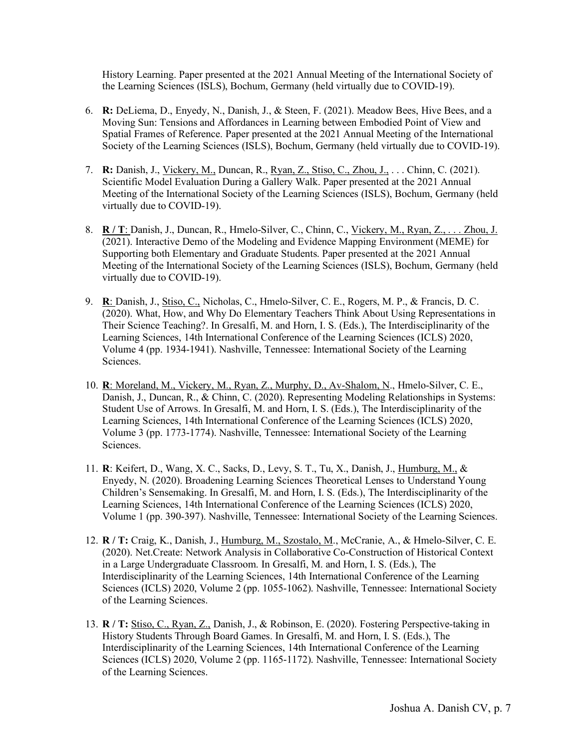History Learning. Paper presented at the 2021 Annual Meeting of the International Society of the Learning Sciences (ISLS), Bochum, Germany (held virtually due to COVID-19).

- 6. **R:** DeLiema, D., Enyedy, N., Danish, J., & Steen, F. (2021). Meadow Bees, Hive Bees, and a Moving Sun: Tensions and Affordances in Learning between Embodied Point of View and Spatial Frames of Reference. Paper presented at the 2021 Annual Meeting of the International Society of the Learning Sciences (ISLS), Bochum, Germany (held virtually due to COVID-19).
- 7. **R:** Danish, J., Vickery, M., Duncan, R., Ryan, Z., Stiso, C., Zhou, J., . . . Chinn, C. (2021). Scientific Model Evaluation During a Gallery Walk. Paper presented at the 2021 Annual Meeting of the International Society of the Learning Sciences (ISLS), Bochum, Germany (held virtually due to COVID-19).
- 8. **R / T**: Danish, J., Duncan, R., Hmelo-Silver, C., Chinn, C., Vickery, M., Ryan, Z., . . . Zhou, J. (2021). Interactive Demo of the Modeling and Evidence Mapping Environment (MEME) for Supporting both Elementary and Graduate Students. Paper presented at the 2021 Annual Meeting of the International Society of the Learning Sciences (ISLS), Bochum, Germany (held virtually due to COVID-19).
- 9. **R**: Danish, J., Stiso, C., Nicholas, C., Hmelo-Silver, C. E., Rogers, M. P., & Francis, D. C. (2020). What, How, and Why Do Elementary Teachers Think About Using Representations in Their Science Teaching?. In Gresalfi, M. and Horn, I. S. (Eds.), The Interdisciplinarity of the Learning Sciences, 14th International Conference of the Learning Sciences (ICLS) 2020, Volume 4 (pp. 1934-1941). Nashville, Tennessee: International Society of the Learning Sciences.
- 10. **R**: Moreland, M., Vickery, M., Ryan, Z., Murphy, D., Av-Shalom, N., Hmelo-Silver, C. E., Danish, J., Duncan, R., & Chinn, C. (2020). Representing Modeling Relationships in Systems: Student Use of Arrows. In Gresalfi, M. and Horn, I. S. (Eds.), The Interdisciplinarity of the Learning Sciences, 14th International Conference of the Learning Sciences (ICLS) 2020, Volume 3 (pp. 1773-1774). Nashville, Tennessee: International Society of the Learning Sciences.
- 11. **R**: Keifert, D., Wang, X. C., Sacks, D., Levy, S. T., Tu, X., Danish, J., Humburg, M., & Enyedy, N. (2020). Broadening Learning Sciences Theoretical Lenses to Understand Young Children's Sensemaking. In Gresalfi, M. and Horn, I. S. (Eds.), The Interdisciplinarity of the Learning Sciences, 14th International Conference of the Learning Sciences (ICLS) 2020, Volume 1 (pp. 390-397). Nashville, Tennessee: International Society of the Learning Sciences.
- 12. **R / T:** Craig, K., Danish, J., Humburg, M., Szostalo, M., McCranie, A., & Hmelo-Silver, C. E. (2020). Net.Create: Network Analysis in Collaborative Co-Construction of Historical Context in a Large Undergraduate Classroom. In Gresalfi, M. and Horn, I. S. (Eds.), The Interdisciplinarity of the Learning Sciences, 14th International Conference of the Learning Sciences (ICLS) 2020, Volume 2 (pp. 1055-1062). Nashville, Tennessee: International Society of the Learning Sciences.
- 13. **R / T:** Stiso, C., Ryan, Z., Danish, J., & Robinson, E. (2020). Fostering Perspective-taking in History Students Through Board Games. In Gresalfi, M. and Horn, I. S. (Eds.), The Interdisciplinarity of the Learning Sciences, 14th International Conference of the Learning Sciences (ICLS) 2020, Volume 2 (pp. 1165-1172). Nashville, Tennessee: International Society of the Learning Sciences.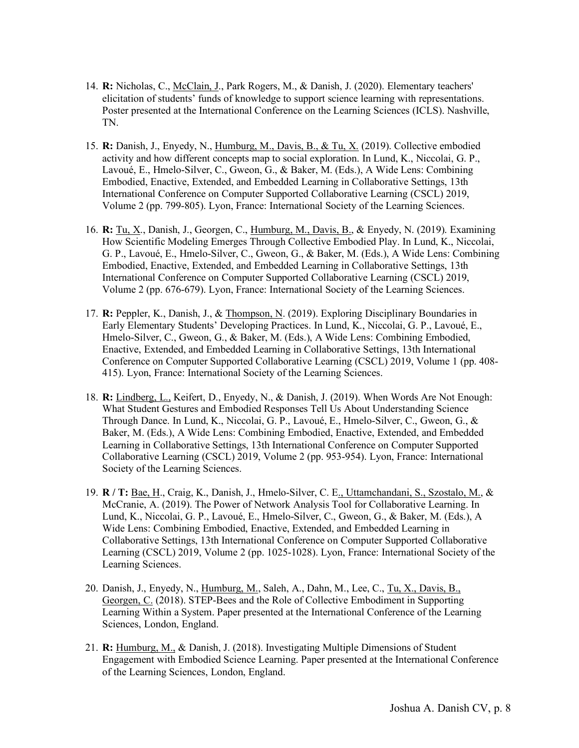- 14. **R:** Nicholas, C., McClain, J., Park Rogers, M., & Danish, J. (2020). Elementary teachers' elicitation of students' funds of knowledge to support science learning with representations. Poster presented at the International Conference on the Learning Sciences (ICLS). Nashville, TN.
- 15. **R:** Danish, J., Enyedy, N., Humburg, M., Davis, B., & Tu, X. (2019). Collective embodied activity and how different concepts map to social exploration. In Lund, K., Niccolai, G. P., Lavoué, E., Hmelo-Silver, C., Gweon, G., & Baker, M. (Eds.), A Wide Lens: Combining Embodied, Enactive, Extended, and Embedded Learning in Collaborative Settings, 13th International Conference on Computer Supported Collaborative Learning (CSCL) 2019, Volume 2 (pp. 799-805). Lyon, France: International Society of the Learning Sciences.
- 16. **R:** Tu, X., Danish, J., Georgen, C., Humburg, M., Davis, B., & Enyedy, N. (2019). Examining How Scientific Modeling Emerges Through Collective Embodied Play. In Lund, K., Niccolai, G. P., Lavoué, E., Hmelo-Silver, C., Gweon, G., & Baker, M. (Eds.), A Wide Lens: Combining Embodied, Enactive, Extended, and Embedded Learning in Collaborative Settings, 13th International Conference on Computer Supported Collaborative Learning (CSCL) 2019, Volume 2 (pp. 676-679). Lyon, France: International Society of the Learning Sciences.
- 17. **R:** Peppler, K., Danish, J., & Thompson, N. (2019). Exploring Disciplinary Boundaries in Early Elementary Students' Developing Practices. In Lund, K., Niccolai, G. P., Lavoué, E., Hmelo-Silver, C., Gweon, G., & Baker, M. (Eds.), A Wide Lens: Combining Embodied, Enactive, Extended, and Embedded Learning in Collaborative Settings, 13th International Conference on Computer Supported Collaborative Learning (CSCL) 2019, Volume 1 (pp. 408- 415). Lyon, France: International Society of the Learning Sciences.
- 18. **R:** Lindberg, L., Keifert, D., Enyedy, N., & Danish, J. (2019). When Words Are Not Enough: What Student Gestures and Embodied Responses Tell Us About Understanding Science Through Dance. In Lund, K., Niccolai, G. P., Lavoué, E., Hmelo-Silver, C., Gweon, G., & Baker, M. (Eds.), A Wide Lens: Combining Embodied, Enactive, Extended, and Embedded Learning in Collaborative Settings, 13th International Conference on Computer Supported Collaborative Learning (CSCL) 2019, Volume 2 (pp. 953-954). Lyon, France: International Society of the Learning Sciences.
- 19. **R / T:** Bae, H., Craig, K., Danish, J., Hmelo-Silver, C. E., Uttamchandani, S., Szostalo, M., & McCranie, A. (2019). The Power of Network Analysis Tool for Collaborative Learning. In Lund, K., Niccolai, G. P., Lavoué, E., Hmelo-Silver, C., Gweon, G., & Baker, M. (Eds.), A Wide Lens: Combining Embodied, Enactive, Extended, and Embedded Learning in Collaborative Settings, 13th International Conference on Computer Supported Collaborative Learning (CSCL) 2019, Volume 2 (pp. 1025-1028). Lyon, France: International Society of the Learning Sciences.
- 20. Danish, J., Enyedy, N., Humburg, M., Saleh, A., Dahn, M., Lee, C., Tu, X., Davis, B., Georgen, C. (2018). STEP-Bees and the Role of Collective Embodiment in Supporting Learning Within a System. Paper presented at the International Conference of the Learning Sciences, London, England.
- 21. **R:** Humburg, M., & Danish, J. (2018). Investigating Multiple Dimensions of Student Engagement with Embodied Science Learning. Paper presented at the International Conference of the Learning Sciences, London, England.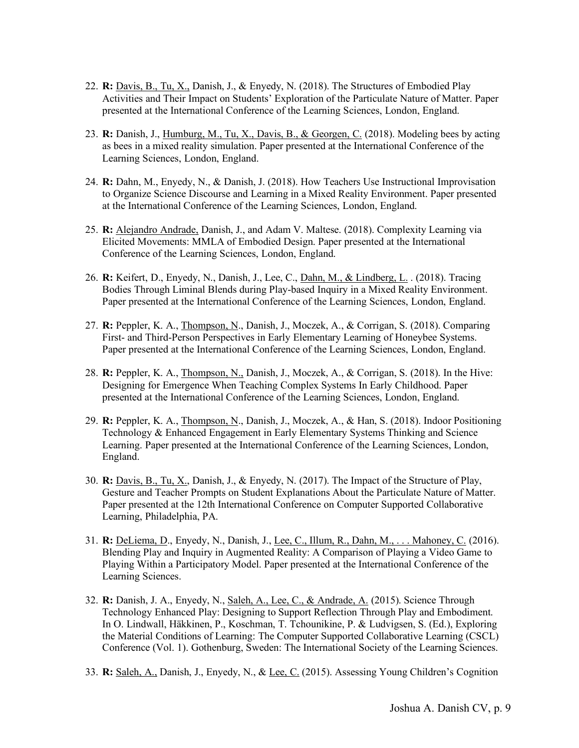- 22. **R:** Davis, B., Tu, X., Danish, J., & Enyedy, N. (2018). The Structures of Embodied Play Activities and Their Impact on Students' Exploration of the Particulate Nature of Matter. Paper presented at the International Conference of the Learning Sciences, London, England.
- 23. **R:** Danish, J., Humburg, M., Tu, X., Davis, B., & Georgen, C. (2018). Modeling bees by acting as bees in a mixed reality simulation. Paper presented at the International Conference of the Learning Sciences, London, England.
- 24. **R:** Dahn, M., Enyedy, N., & Danish, J. (2018). How Teachers Use Instructional Improvisation to Organize Science Discourse and Learning in a Mixed Reality Environment. Paper presented at the International Conference of the Learning Sciences, London, England.
- 25. **R:** Alejandro Andrade, Danish, J., and Adam V. Maltese. (2018). Complexity Learning via Elicited Movements: MMLA of Embodied Design. Paper presented at the International Conference of the Learning Sciences, London, England.
- 26. **R:** Keifert, D., Enyedy, N., Danish, J., Lee, C., Dahn, M., & Lindberg, L. . (2018). Tracing Bodies Through Liminal Blends during Play-based Inquiry in a Mixed Reality Environment. Paper presented at the International Conference of the Learning Sciences, London, England.
- 27. **R:** Peppler, K. A., Thompson, N., Danish, J., Moczek, A., & Corrigan, S. (2018). Comparing First- and Third-Person Perspectives in Early Elementary Learning of Honeybee Systems. Paper presented at the International Conference of the Learning Sciences, London, England.
- 28. **R:** Peppler, K. A., Thompson, N., Danish, J., Moczek, A., & Corrigan, S. (2018). In the Hive: Designing for Emergence When Teaching Complex Systems In Early Childhood. Paper presented at the International Conference of the Learning Sciences, London, England.
- 29. **R:** Peppler, K. A., Thompson, N., Danish, J., Moczek, A., & Han, S. (2018). Indoor Positioning Technology & Enhanced Engagement in Early Elementary Systems Thinking and Science Learning. Paper presented at the International Conference of the Learning Sciences, London, England.
- 30. **R:** Davis, B., Tu, X., Danish, J., & Enyedy, N. (2017). The Impact of the Structure of Play, Gesture and Teacher Prompts on Student Explanations About the Particulate Nature of Matter. Paper presented at the 12th International Conference on Computer Supported Collaborative Learning, Philadelphia, PA.
- 31. **R:** DeLiema, D., Enyedy, N., Danish, J., Lee, C., Illum, R., Dahn, M., . . . Mahoney, C. (2016). Blending Play and Inquiry in Augmented Reality: A Comparison of Playing a Video Game to Playing Within a Participatory Model. Paper presented at the International Conference of the Learning Sciences.
- 32. **R:** Danish, J. A., Enyedy, N., Saleh, A., Lee, C., & Andrade, A. (2015). Science Through Technology Enhanced Play: Designing to Support Reflection Through Play and Embodiment. In O. Lindwall, Häkkinen, P., Koschman, T. Tchounikine, P. & Ludvigsen, S. (Ed.), Exploring the Material Conditions of Learning: The Computer Supported Collaborative Learning (CSCL) Conference (Vol. 1). Gothenburg, Sweden: The International Society of the Learning Sciences.
- 33. **R:** Saleh, A., Danish, J., Enyedy, N., & Lee, C. (2015). Assessing Young Children's Cognition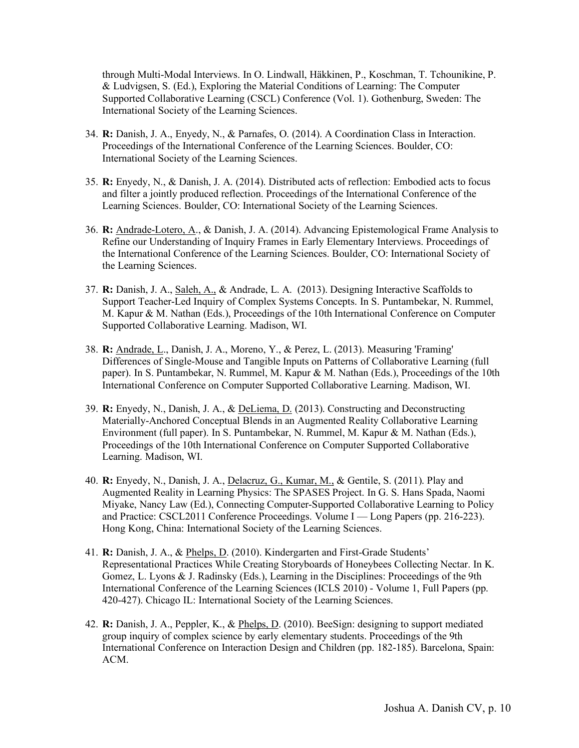through Multi-Modal Interviews. In O. Lindwall, Häkkinen, P., Koschman, T. Tchounikine, P. & Ludvigsen, S. (Ed.), Exploring the Material Conditions of Learning: The Computer Supported Collaborative Learning (CSCL) Conference (Vol. 1). Gothenburg, Sweden: The International Society of the Learning Sciences.

- 34. **R:** Danish, J. A., Enyedy, N., & Parnafes, O. (2014). A Coordination Class in Interaction. Proceedings of the International Conference of the Learning Sciences. Boulder, CO: International Society of the Learning Sciences.
- 35. **R:** Enyedy, N., & Danish, J. A. (2014). Distributed acts of reflection: Embodied acts to focus and filter a jointly produced reflection. Proceedings of the International Conference of the Learning Sciences. Boulder, CO: International Society of the Learning Sciences.
- 36. **R:** Andrade-Lotero, A., & Danish, J. A. (2014). Advancing Epistemological Frame Analysis to Refine our Understanding of Inquiry Frames in Early Elementary Interviews. Proceedings of the International Conference of the Learning Sciences. Boulder, CO: International Society of the Learning Sciences.
- 37. **R:** Danish, J. A., Saleh, A., & Andrade, L. A. (2013). Designing Interactive Scaffolds to Support Teacher-Led Inquiry of Complex Systems Concepts. In S. Puntambekar, N. Rummel, M. Kapur & M. Nathan (Eds.), Proceedings of the 10th International Conference on Computer Supported Collaborative Learning. Madison, WI.
- 38. **R:** Andrade, L., Danish, J. A., Moreno, Y., & Perez, L. (2013). Measuring 'Framing' Differences of Single-Mouse and Tangible Inputs on Patterns of Collaborative Learning (full paper). In S. Puntambekar, N. Rummel, M. Kapur & M. Nathan (Eds.), Proceedings of the 10th International Conference on Computer Supported Collaborative Learning. Madison, WI.
- 39. **R:** Enyedy, N., Danish, J. A., & DeLiema, D. (2013). Constructing and Deconstructing Materially-Anchored Conceptual Blends in an Augmented Reality Collaborative Learning Environment (full paper). In S. Puntambekar, N. Rummel, M. Kapur & M. Nathan (Eds.), Proceedings of the 10th International Conference on Computer Supported Collaborative Learning. Madison, WI.
- 40. **R:** Enyedy, N., Danish, J. A., Delacruz, G., Kumar, M., & Gentile, S. (2011). Play and Augmented Reality in Learning Physics: The SPASES Project. In G. S. Hans Spada, Naomi Miyake, Nancy Law (Ed.), Connecting Computer-Supported Collaborative Learning to Policy and Practice: CSCL2011 Conference Proceedings. Volume I — Long Papers (pp. 216-223). Hong Kong, China: International Society of the Learning Sciences.
- 41. **R:** Danish, J. A., & Phelps, D. (2010). Kindergarten and First-Grade Students' Representational Practices While Creating Storyboards of Honeybees Collecting Nectar. In K. Gomez, L. Lyons & J. Radinsky (Eds.), Learning in the Disciplines: Proceedings of the 9th International Conference of the Learning Sciences (ICLS 2010) - Volume 1, Full Papers (pp. 420-427). Chicago IL: International Society of the Learning Sciences.
- 42. **R:** Danish, J. A., Peppler, K., & Phelps, D. (2010). BeeSign: designing to support mediated group inquiry of complex science by early elementary students. Proceedings of the 9th International Conference on Interaction Design and Children (pp. 182-185). Barcelona, Spain: ACM.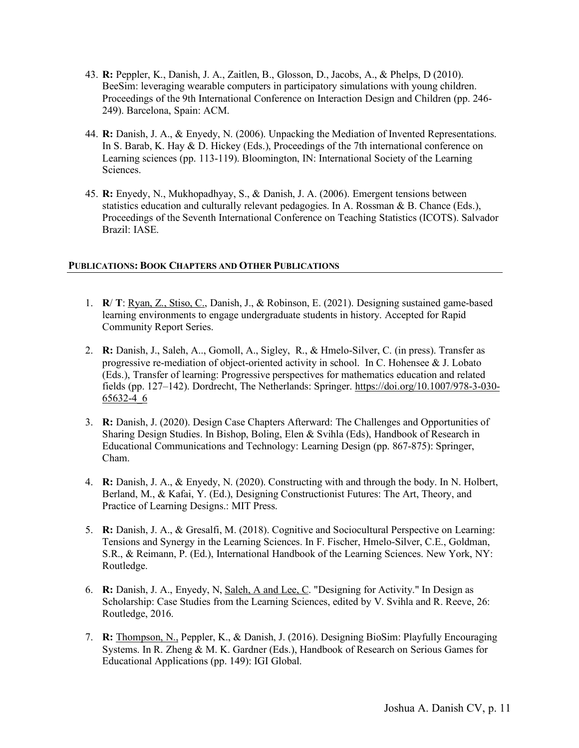- 43. **R:** Peppler, K., Danish, J. A., Zaitlen, B., Glosson, D., Jacobs, A., & Phelps, D (2010). BeeSim: leveraging wearable computers in participatory simulations with young children. Proceedings of the 9th International Conference on Interaction Design and Children (pp. 246- 249). Barcelona, Spain: ACM.
- 44. **R:** Danish, J. A., & Enyedy, N. (2006). Unpacking the Mediation of Invented Representations. In S. Barab, K. Hay & D. Hickey (Eds.), Proceedings of the 7th international conference on Learning sciences (pp. 113-119). Bloomington, IN: International Society of the Learning Sciences.
- 45. **R:** Enyedy, N., Mukhopadhyay, S., & Danish, J. A. (2006). Emergent tensions between statistics education and culturally relevant pedagogies. In A. Rossman & B. Chance (Eds.), Proceedings of the Seventh International Conference on Teaching Statistics (ICOTS). Salvador Brazil: IASE.

# **PUBLICATIONS: BOOK CHAPTERS AND OTHER PUBLICATIONS**

- 1. **R**/ **T**: Ryan, Z., Stiso, C., Danish, J., & Robinson, E. (2021). Designing sustained game-based learning environments to engage undergraduate students in history. Accepted for Rapid Community Report Series.
- 2. **R:** Danish, J., Saleh, A.., Gomoll, A., Sigley, R., & Hmelo-Silver, C. (in press). Transfer as progressive re-mediation of object-oriented activity in school. In C. Hohensee & J. Lobato (Eds.), Transfer of learning: Progressive perspectives for mathematics education and related fields (pp. 127–142). Dordrecht, The Netherlands: Springer. https://doi.org/10.1007/978-3-030- 65632-4\_6
- 3. **R:** Danish, J. (2020). Design Case Chapters Afterward: The Challenges and Opportunities of Sharing Design Studies. In Bishop, Boling, Elen & Svihla (Eds), Handbook of Research in Educational Communications and Technology: Learning Design (pp. 867-875): Springer, Cham.
- 4. **R:** Danish, J. A., & Enyedy, N. (2020). Constructing with and through the body. In N. Holbert, Berland, M., & Kafai, Y. (Ed.), Designing Constructionist Futures: The Art, Theory, and Practice of Learning Designs.: MIT Press.
- 5. **R:** Danish, J. A., & Gresalfi, M. (2018). Cognitive and Sociocultural Perspective on Learning: Tensions and Synergy in the Learning Sciences. In F. Fischer, Hmelo-Silver, C.E., Goldman, S.R., & Reimann, P. (Ed.), International Handbook of the Learning Sciences. New York, NY: Routledge.
- 6. **R:** Danish, J. A., Enyedy, N, Saleh, A and Lee, C. "Designing for Activity." In Design as Scholarship: Case Studies from the Learning Sciences, edited by V. Svihla and R. Reeve, 26: Routledge, 2016.
- 7. **R:** Thompson, N., Peppler, K., & Danish, J. (2016). Designing BioSim: Playfully Encouraging Systems. In R. Zheng & M. K. Gardner (Eds.), Handbook of Research on Serious Games for Educational Applications (pp. 149): IGI Global.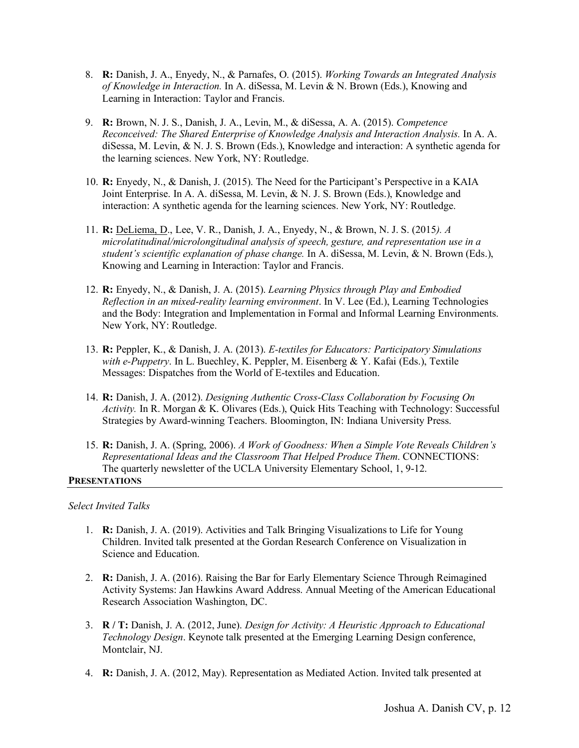- 8. **R:** Danish, J. A., Enyedy, N., & Parnafes, O. (2015). *Working Towards an Integrated Analysis of Knowledge in Interaction.* In A. diSessa, M. Levin & N. Brown (Eds.), Knowing and Learning in Interaction: Taylor and Francis.
- 9. **R:** Brown, N. J. S., Danish, J. A., Levin, M., & diSessa, A. A. (2015). *Competence Reconceived: The Shared Enterprise of Knowledge Analysis and Interaction Analysis.* In A. A. diSessa, M. Levin, & N. J. S. Brown (Eds.), Knowledge and interaction: A synthetic agenda for the learning sciences. New York, NY: Routledge.
- 10. **R:** Enyedy, N., & Danish, J. (2015). The Need for the Participant's Perspective in a KAIA Joint Enterprise. In A. A. diSessa, M. Levin, & N. J. S. Brown (Eds.), Knowledge and interaction: A synthetic agenda for the learning sciences. New York, NY: Routledge.
- 11. **R:** DeLiema, D., Lee, V. R., Danish, J. A., Enyedy, N., & Brown, N. J. S. (2015*). A microlatitudinal/microlongitudinal analysis of speech, gesture, and representation use in a student's scientific explanation of phase change.* In A. diSessa, M. Levin, & N. Brown (Eds.), Knowing and Learning in Interaction: Taylor and Francis.
- 12. **R:** Enyedy, N., & Danish, J. A. (2015). *Learning Physics through Play and Embodied Reflection in an mixed-reality learning environment*. In V. Lee (Ed.), Learning Technologies and the Body: Integration and Implementation in Formal and Informal Learning Environments. New York, NY: Routledge.
- 13. **R:** Peppler, K., & Danish, J. A. (2013). *E-textiles for Educators: Participatory Simulations with e-Puppetry*. In L. Buechley, K. Peppler, M. Eisenberg & Y. Kafai (Eds.), Textile Messages: Dispatches from the World of E-textiles and Education.
- 14. **R:** Danish, J. A. (2012). *Designing Authentic Cross-Class Collaboration by Focusing On Activity.* In R. Morgan & K. Olivares (Eds.), Quick Hits Teaching with Technology: Successful Strategies by Award-winning Teachers. Bloomington, IN: Indiana University Press.
- 15. **R:** Danish, J. A. (Spring, 2006). *A Work of Goodness: When a Simple Vote Reveals Children's Representational Ideas and the Classroom That Helped Produce Them*. CONNECTIONS: The quarterly newsletter of the UCLA University Elementary School, 1, 9-12.

# **PRESENTATIONS**

# *Select Invited Talks*

- 1. **R:** Danish, J. A. (2019). Activities and Talk Bringing Visualizations to Life for Young Children. Invited talk presented at the Gordan Research Conference on Visualization in Science and Education.
- 2. **R:** Danish, J. A. (2016). Raising the Bar for Early Elementary Science Through Reimagined Activity Systems: Jan Hawkins Award Address. Annual Meeting of the American Educational Research Association Washington, DC.
- 3. **R / T:** Danish, J. A. (2012, June). *Design for Activity: A Heuristic Approach to Educational Technology Design*. Keynote talk presented at the Emerging Learning Design conference, Montclair, NJ.
- 4. **R:** Danish, J. A. (2012, May). Representation as Mediated Action. Invited talk presented at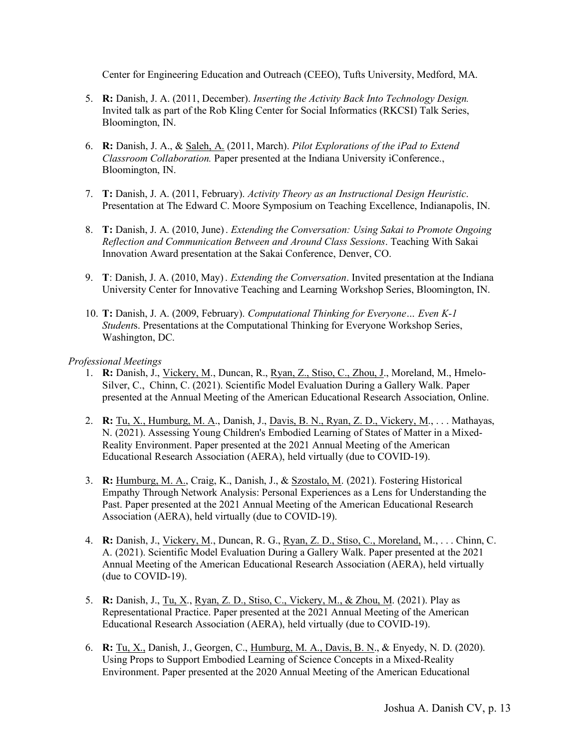Center for Engineering Education and Outreach (CEEO), Tufts University, Medford, MA.

- 5. **R:** Danish, J. A. (2011, December). *Inserting the Activity Back Into Technology Design.* Invited talk as part of the Rob Kling Center for Social Informatics (RKCSI) Talk Series, Bloomington, IN.
- 6. **R:** Danish, J. A., & Saleh, A. (2011, March). *Pilot Explorations of the iPad to Extend Classroom Collaboration.* Paper presented at the Indiana University iConference., Bloomington, IN.
- 7. **T:** Danish, J. A. (2011, February). *Activity Theory as an Instructional Design Heuristic*. Presentation at The Edward C. Moore Symposium on Teaching Excellence, Indianapolis, IN.
- 8. **T:** Danish, J. A. (2010, June). *Extending the Conversation: Using Sakai to Promote Ongoing Reflection and Communication Between and Around Class Sessions*. Teaching With Sakai Innovation Award presentation at the Sakai Conference, Denver, CO.
- 9. **T**: Danish, J. A. (2010, May). *Extending the Conversation*. Invited presentation at the Indiana University Center for Innovative Teaching and Learning Workshop Series, Bloomington, IN.
- 10. **T:** Danish, J. A. (2009, February). *Computational Thinking for Everyone… Even K-1 Student*s. Presentations at the Computational Thinking for Everyone Workshop Series, Washington, DC.

# *Professional Meetings*

- 1. **R:** Danish, J., Vickery, M., Duncan, R., Ryan, Z., Stiso, C., Zhou, J., Moreland, M., Hmelo-Silver, C., Chinn, C. (2021). Scientific Model Evaluation During a Gallery Walk. Paper presented at the Annual Meeting of the American Educational Research Association, Online.
- 2. **R:** Tu, X., Humburg, M. A., Danish, J., Davis, B. N., Ryan, Z. D., Vickery, M., . . . Mathayas, N. (2021). Assessing Young Children's Embodied Learning of States of Matter in a Mixed-Reality Environment. Paper presented at the 2021 Annual Meeting of the American Educational Research Association (AERA), held virtually (due to COVID-19).
- 3. **R:** Humburg, M. A., Craig, K., Danish, J., & Szostalo, M. (2021). Fostering Historical Empathy Through Network Analysis: Personal Experiences as a Lens for Understanding the Past. Paper presented at the 2021 Annual Meeting of the American Educational Research Association (AERA), held virtually (due to COVID-19).
- 4. **R:** Danish, J., Vickery, M., Duncan, R. G., Ryan, Z. D., Stiso, C., Moreland, M., . . . Chinn, C. A. (2021). Scientific Model Evaluation During a Gallery Walk. Paper presented at the 2021 Annual Meeting of the American Educational Research Association (AERA), held virtually (due to COVID-19).
- 5. **R:** Danish, J., Tu, X., Ryan, Z. D., Stiso, C., Vickery, M., & Zhou, M. (2021). Play as Representational Practice. Paper presented at the 2021 Annual Meeting of the American Educational Research Association (AERA), held virtually (due to COVID-19).
- 6. **R:** Tu, X., Danish, J., Georgen, C., Humburg, M. A., Davis, B. N., & Enyedy, N. D. (2020). Using Props to Support Embodied Learning of Science Concepts in a Mixed-Reality Environment. Paper presented at the 2020 Annual Meeting of the American Educational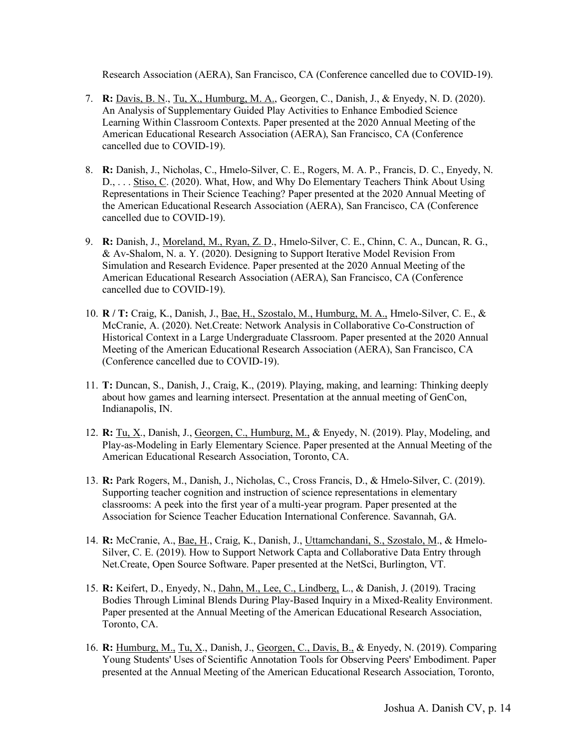Research Association (AERA), San Francisco, CA (Conference cancelled due to COVID-19).

- 7. **R:** Davis, B. N., Tu, X., Humburg, M. A., Georgen, C., Danish, J., & Enyedy, N. D. (2020). An Analysis of Supplementary Guided Play Activities to Enhance Embodied Science Learning Within Classroom Contexts. Paper presented at the 2020 Annual Meeting of the American Educational Research Association (AERA), San Francisco, CA (Conference cancelled due to COVID-19).
- 8. **R:** Danish, J., Nicholas, C., Hmelo-Silver, C. E., Rogers, M. A. P., Francis, D. C., Enyedy, N. D., . . . Stiso, C. (2020). What, How, and Why Do Elementary Teachers Think About Using Representations in Their Science Teaching? Paper presented at the 2020 Annual Meeting of the American Educational Research Association (AERA), San Francisco, CA (Conference cancelled due to COVID-19).
- 9. **R:** Danish, J., Moreland, M., Ryan, Z. D., Hmelo-Silver, C. E., Chinn, C. A., Duncan, R. G., & Av-Shalom, N. a. Y. (2020). Designing to Support Iterative Model Revision From Simulation and Research Evidence. Paper presented at the 2020 Annual Meeting of the American Educational Research Association (AERA), San Francisco, CA (Conference cancelled due to COVID-19).
- 10. **R / T:** Craig, K., Danish, J., Bae, H., Szostalo, M., Humburg, M. A., Hmelo-Silver, C. E., & McCranie, A. (2020). Net.Create: Network Analysis in Collaborative Co-Construction of Historical Context in a Large Undergraduate Classroom. Paper presented at the 2020 Annual Meeting of the American Educational Research Association (AERA), San Francisco, CA (Conference cancelled due to COVID-19).
- 11. **T:** Duncan, S., Danish, J., Craig, K., (2019). Playing, making, and learning: Thinking deeply about how games and learning intersect. Presentation at the annual meeting of GenCon, Indianapolis, IN.
- 12. **R:** Tu, X., Danish, J., Georgen, C., Humburg, M., & Enyedy, N. (2019). Play, Modeling, and Play-as-Modeling in Early Elementary Science. Paper presented at the Annual Meeting of the American Educational Research Association, Toronto, CA.
- 13. **R:** Park Rogers, M., Danish, J., Nicholas, C., Cross Francis, D., & Hmelo-Silver, C. (2019). Supporting teacher cognition and instruction of science representations in elementary classrooms: A peek into the first year of a multi-year program. Paper presented at the Association for Science Teacher Education International Conference. Savannah, GA.
- 14. **R:** McCranie, A., Bae, H., Craig, K., Danish, J., Uttamchandani, S., Szostalo, M., & Hmelo-Silver, C. E. (2019). How to Support Network Capta and Collaborative Data Entry through Net.Create, Open Source Software. Paper presented at the NetSci, Burlington, VT.
- 15. **R:** Keifert, D., Enyedy, N., Dahn, M., Lee, C., Lindberg, L., & Danish, J. (2019). Tracing Bodies Through Liminal Blends During Play-Based Inquiry in a Mixed-Reality Environment. Paper presented at the Annual Meeting of the American Educational Research Association, Toronto, CA.
- 16. **R:** Humburg, M., Tu, X., Danish, J., Georgen, C., Davis, B., & Enyedy, N. (2019). Comparing Young Students' Uses of Scientific Annotation Tools for Observing Peers' Embodiment. Paper presented at the Annual Meeting of the American Educational Research Association, Toronto,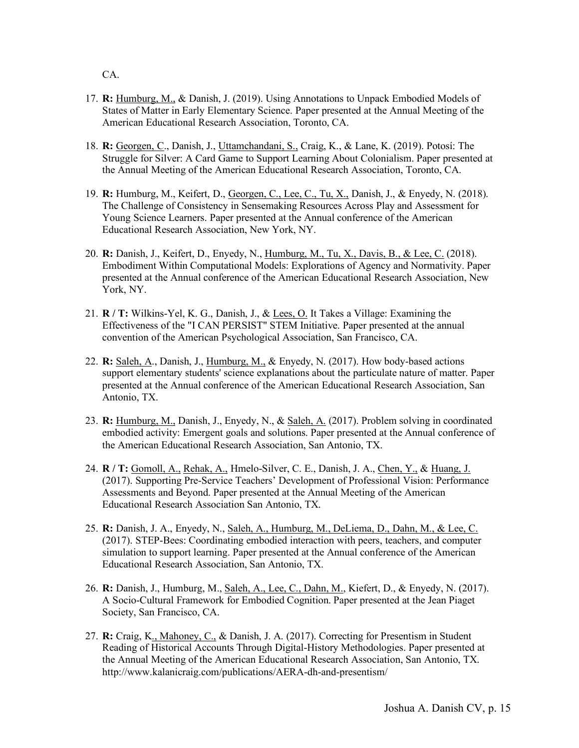CA.

- 17. **R:** Humburg, M., & Danish, J. (2019). Using Annotations to Unpack Embodied Models of States of Matter in Early Elementary Science. Paper presented at the Annual Meeting of the American Educational Research Association, Toronto, CA.
- 18. **R:** Georgen, C., Danish, J., Uttamchandani, S., Craig, K., & Lane, K. (2019). Potosí: The Struggle for Silver: A Card Game to Support Learning About Colonialism. Paper presented at the Annual Meeting of the American Educational Research Association, Toronto, CA.
- 19. **R:** Humburg, M., Keifert, D., Georgen, C., Lee, C., Tu, X., Danish, J., & Enyedy, N. (2018). The Challenge of Consistency in Sensemaking Resources Across Play and Assessment for Young Science Learners. Paper presented at the Annual conference of the American Educational Research Association, New York, NY.
- 20. **R:** Danish, J., Keifert, D., Enyedy, N., Humburg, M., Tu, X., Davis, B., & Lee, C. (2018). Embodiment Within Computational Models: Explorations of Agency and Normativity. Paper presented at the Annual conference of the American Educational Research Association, New York, NY.
- 21. **R / T:** Wilkins-Yel, K. G., Danish, J., & Lees, O. It Takes a Village: Examining the Effectiveness of the "I CAN PERSIST" STEM Initiative. Paper presented at the annual convention of the American Psychological Association, San Francisco, CA.
- 22. **R:** Saleh, A., Danish, J., Humburg, M., & Enyedy, N. (2017). How body-based actions support elementary students' science explanations about the particulate nature of matter. Paper presented at the Annual conference of the American Educational Research Association, San Antonio, TX.
- 23. **R:** Humburg, M., Danish, J., Enyedy, N., & Saleh, A. (2017). Problem solving in coordinated embodied activity: Emergent goals and solutions. Paper presented at the Annual conference of the American Educational Research Association, San Antonio, TX.
- 24. **R / T:** Gomoll, A., Rehak, A., Hmelo-Silver, C. E., Danish, J. A., Chen, Y., & Huang, J. (2017). Supporting Pre-Service Teachers' Development of Professional Vision: Performance Assessments and Beyond. Paper presented at the Annual Meeting of the American Educational Research Association San Antonio, TX.
- 25. **R:** Danish, J. A., Enyedy, N., Saleh, A., Humburg, M., DeLiema, D., Dahn, M., & Lee, C. (2017). STEP-Bees: Coordinating embodied interaction with peers, teachers, and computer simulation to support learning. Paper presented at the Annual conference of the American Educational Research Association, San Antonio, TX.
- 26. **R:** Danish, J., Humburg, M., Saleh, A., Lee, C., Dahn, M., Kiefert, D., & Enyedy, N. (2017). A Socio-Cultural Framework for Embodied Cognition. Paper presented at the Jean Piaget Society, San Francisco, CA.
- 27. **R:** Craig, K., Mahoney, C., & Danish, J. A. (2017). Correcting for Presentism in Student Reading of Historical Accounts Through Digital-History Methodologies. Paper presented at the Annual Meeting of the American Educational Research Association, San Antonio, TX. http://www.kalanicraig.com/publications/AERA-dh-and-presentism/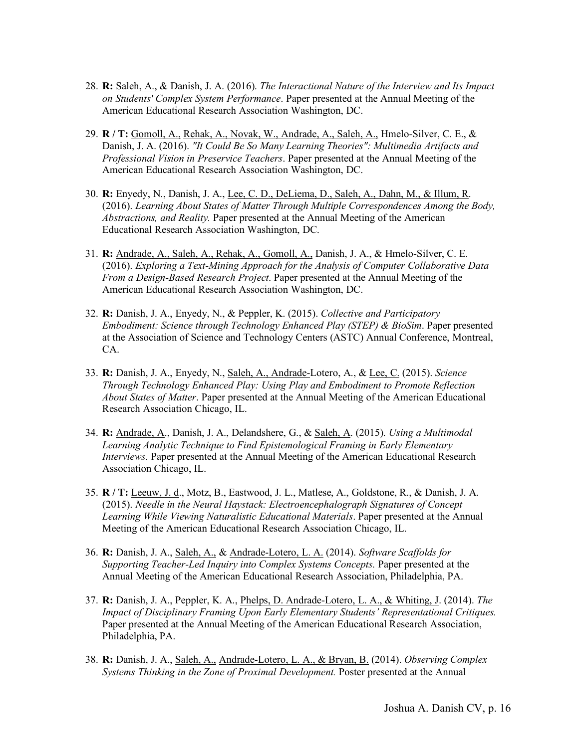- 28. **R:** Saleh, A., & Danish, J. A. (2016). *The Interactional Nature of the Interview and Its Impact on Students' Complex System Performance*. Paper presented at the Annual Meeting of the American Educational Research Association Washington, DC.
- 29. **R / T:** Gomoll, A., Rehak, A., Novak, W., Andrade, A., Saleh, A., Hmelo-Silver, C. E., & Danish, J. A. (2016). *"It Could Be So Many Learning Theories": Multimedia Artifacts and Professional Vision in Preservice Teachers*. Paper presented at the Annual Meeting of the American Educational Research Association Washington, DC.
- 30. **R:** Enyedy, N., Danish, J. A., Lee, C. D., DeLiema, D., Saleh, A., Dahn, M., & Illum, R. (2016). *Learning About States of Matter Through Multiple Correspondences Among the Body, Abstractions, and Reality.* Paper presented at the Annual Meeting of the American Educational Research Association Washington, DC.
- 31. **R:** Andrade, A., Saleh, A., Rehak, A., Gomoll, A., Danish, J. A., & Hmelo-Silver, C. E. (2016). *Exploring a Text-Mining Approach for the Analysis of Computer Collaborative Data From a Design-Based Research Project*. Paper presented at the Annual Meeting of the American Educational Research Association Washington, DC.
- 32. **R:** Danish, J. A., Enyedy, N., & Peppler, K. (2015). *Collective and Participatory Embodiment: Science through Technology Enhanced Play (STEP) & BioSim*. Paper presented at the Association of Science and Technology Centers (ASTC) Annual Conference, Montreal, CA.
- 33. **R:** Danish, J. A., Enyedy, N., Saleh, A., Andrade-Lotero, A., & Lee, C. (2015). *Science Through Technology Enhanced Play: Using Play and Embodiment to Promote Reflection About States of Matter*. Paper presented at the Annual Meeting of the American Educational Research Association Chicago, IL.
- 34. **R:** Andrade, A., Danish, J. A., Delandshere, G., & Saleh, A. (2015). *Using a Multimodal Learning Analytic Technique to Find Epistemological Framing in Early Elementary Interviews.* Paper presented at the Annual Meeting of the American Educational Research Association Chicago, IL.
- 35. **R / T:** Leeuw, J. d., Motz, B., Eastwood, J. L., Matlese, A., Goldstone, R., & Danish, J. A. (2015). *Needle in the Neural Haystack: Electroencephalograph Signatures of Concept Learning While Viewing Naturalistic Educational Materials*. Paper presented at the Annual Meeting of the American Educational Research Association Chicago, IL.
- 36. **R:** Danish, J. A., Saleh, A., & Andrade-Lotero, L. A. (2014). *Software Scaffolds for Supporting Teacher-Led Inquiry into Complex Systems Concepts.* Paper presented at the Annual Meeting of the American Educational Research Association, Philadelphia, PA.
- 37. **R:** Danish, J. A., Peppler, K. A., Phelps, D. Andrade-Lotero, L. A., & Whiting, J. (2014). *The Impact of Disciplinary Framing Upon Early Elementary Students' Representational Critiques.* Paper presented at the Annual Meeting of the American Educational Research Association, Philadelphia, PA.
- 38. **R:** Danish, J. A., Saleh, A., Andrade-Lotero, L. A., & Bryan, B. (2014). *Observing Complex Systems Thinking in the Zone of Proximal Development.* Poster presented at the Annual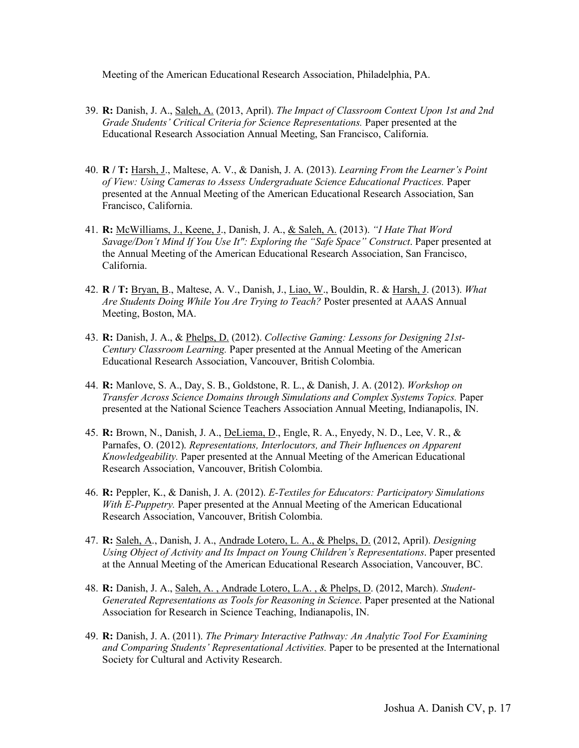Meeting of the American Educational Research Association, Philadelphia, PA.

- 39. **R:** Danish, J. A., Saleh, A. (2013, April). *The Impact of Classroom Context Upon 1st and 2nd Grade Students' Critical Criteria for Science Representations.* Paper presented at the Educational Research Association Annual Meeting, San Francisco, California.
- 40. **R / T:** Harsh, J., Maltese, A. V., & Danish, J. A. (2013). *Learning From the Learner's Point of View: Using Cameras to Assess Undergraduate Science Educational Practices.* Paper presented at the Annual Meeting of the American Educational Research Association, San Francisco, California.
- 41. **R:** McWilliams, J., Keene, J., Danish, J. A., & Saleh, A. (2013). *"I Hate That Word Savage/Don't Mind If You Use It": Exploring the "Safe Space" Construct*. Paper presented at the Annual Meeting of the American Educational Research Association, San Francisco, California.
- 42. **R / T:** Bryan, B., Maltese, A. V., Danish, J., Liao, W., Bouldin, R. & Harsh, J. (2013). *What Are Students Doing While You Are Trying to Teach?* Poster presented at AAAS Annual Meeting, Boston, MA.
- 43. **R:** Danish, J. A., & Phelps, D. (2012). *Collective Gaming: Lessons for Designing 21st-Century Classroom Learning.* Paper presented at the Annual Meeting of the American Educational Research Association, Vancouver, British Colombia.
- 44. **R:** Manlove, S. A., Day, S. B., Goldstone, R. L., & Danish, J. A. (2012). *Workshop on Transfer Across Science Domains through Simulations and Complex Systems Topics.* Paper presented at the National Science Teachers Association Annual Meeting, Indianapolis, IN.
- 45. **R:** Brown, N., Danish, J. A., DeLiema, D., Engle, R. A., Enyedy, N. D., Lee, V. R., & Parnafes, O. (2012). *Representations, Interlocutors, and Their Influences on Apparent Knowledgeability.* Paper presented at the Annual Meeting of the American Educational Research Association, Vancouver, British Colombia.
- 46. **R:** Peppler, K., & Danish, J. A. (2012). *E-Textiles for Educators: Participatory Simulations With E-Puppetry.* Paper presented at the Annual Meeting of the American Educational Research Association, Vancouver, British Colombia.
- 47. **R:** Saleh, A., Danish, J. A., Andrade Lotero, L. A., & Phelps, D. (2012, April). *Designing Using Object of Activity and Its Impact on Young Children's Representations*. Paper presented at the Annual Meeting of the American Educational Research Association, Vancouver, BC.
- 48. **R:** Danish, J. A., Saleh, A. , Andrade Lotero, L.A. , & Phelps, D. (2012, March). *Student-Generated Representations as Tools for Reasoning in Science*. Paper presented at the National Association for Research in Science Teaching, Indianapolis, IN.
- 49. **R:** Danish, J. A. (2011). *The Primary Interactive Pathway: An Analytic Tool For Examining and Comparing Students' Representational Activities.* Paper to be presented at the International Society for Cultural and Activity Research.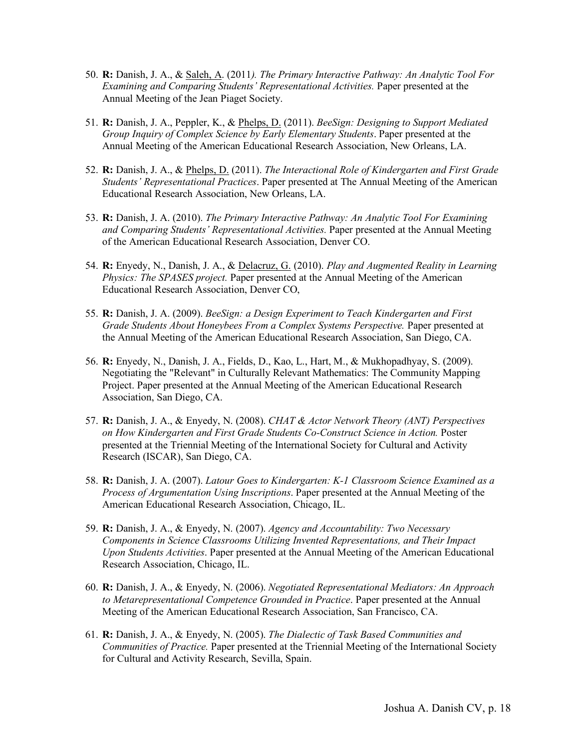- 50. **R:** Danish, J. A., & Saleh, A. (2011*). The Primary Interactive Pathway: An Analytic Tool For Examining and Comparing Students' Representational Activities.* Paper presented at the Annual Meeting of the Jean Piaget Society.
- 51. **R:** Danish, J. A., Peppler, K., & Phelps, D. (2011). *BeeSign: Designing to Support Mediated Group Inquiry of Complex Science by Early Elementary Students*. Paper presented at the Annual Meeting of the American Educational Research Association, New Orleans, LA.
- 52. **R:** Danish, J. A., & Phelps, D. (2011). *The Interactional Role of Kindergarten and First Grade Students' Representational Practices*. Paper presented at The Annual Meeting of the American Educational Research Association, New Orleans, LA.
- 53. **R:** Danish, J. A. (2010). *The Primary Interactive Pathway: An Analytic Tool For Examining and Comparing Students' Representational Activities.* Paper presented at the Annual Meeting of the American Educational Research Association, Denver CO.
- 54. **R:** Enyedy, N., Danish, J. A., & Delacruz, G. (2010). *Play and Augmented Reality in Learning Physics: The SPASES project.* Paper presented at the Annual Meeting of the American Educational Research Association, Denver CO,
- 55. **R:** Danish, J. A. (2009). *BeeSign: a Design Experiment to Teach Kindergarten and First Grade Students About Honeybees From a Complex Systems Perspective.* Paper presented at the Annual Meeting of the American Educational Research Association, San Diego, CA.
- 56. **R:** Enyedy, N., Danish, J. A., Fields, D., Kao, L., Hart, M., & Mukhopadhyay, S. (2009). Negotiating the "Relevant" in Culturally Relevant Mathematics: The Community Mapping Project. Paper presented at the Annual Meeting of the American Educational Research Association, San Diego, CA.
- 57. **R:** Danish, J. A., & Enyedy, N. (2008). *CHAT & Actor Network Theory (ANT) Perspectives on How Kindergarten and First Grade Students Co-Construct Science in Action.* Poster presented at the Triennial Meeting of the International Society for Cultural and Activity Research (ISCAR), San Diego, CA.
- 58. **R:** Danish, J. A. (2007). *Latour Goes to Kindergarten: K-1 Classroom Science Examined as a Process of Argumentation Using Inscriptions*. Paper presented at the Annual Meeting of the American Educational Research Association, Chicago, IL.
- 59. **R:** Danish, J. A., & Enyedy, N. (2007). *Agency and Accountability: Two Necessary Components in Science Classrooms Utilizing Invented Representations, and Their Impact Upon Students Activities*. Paper presented at the Annual Meeting of the American Educational Research Association, Chicago, IL.
- 60. **R:** Danish, J. A., & Enyedy, N. (2006). *Negotiated Representational Mediators: An Approach to Metarepresentational Competence Grounded in Practice*. Paper presented at the Annual Meeting of the American Educational Research Association, San Francisco, CA.
- 61. **R:** Danish, J. A., & Enyedy, N. (2005). *The Dialectic of Task Based Communities and Communities of Practice.* Paper presented at the Triennial Meeting of the International Society for Cultural and Activity Research, Sevilla, Spain.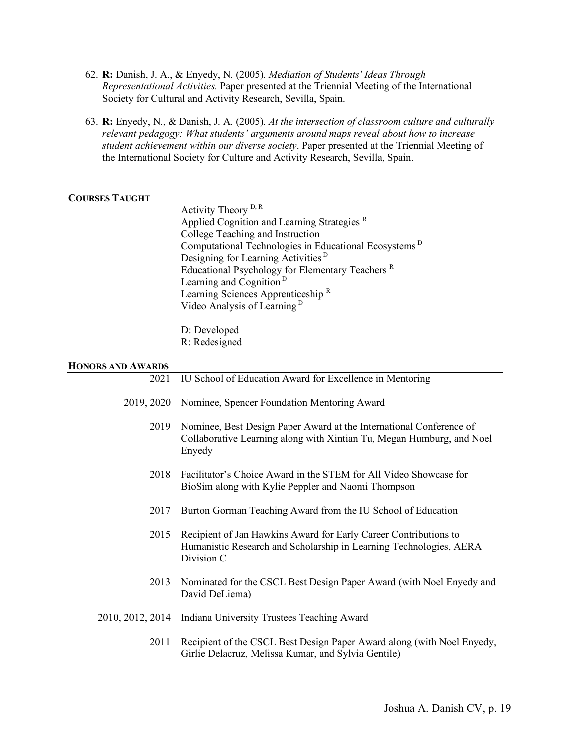- 62. **R:** Danish, J. A., & Enyedy, N. (2005). *Mediation of Students' Ideas Through Representational Activities.* Paper presented at the Triennial Meeting of the International Society for Cultural and Activity Research, Sevilla, Spain.
- 63. **R:** Enyedy, N., & Danish, J. A. (2005). *At the intersection of classroom culture and culturally relevant pedagogy: What students' arguments around maps reveal about how to increase student achievement within our diverse society*. Paper presented at the Triennial Meeting of the International Society for Culture and Activity Research, Sevilla, Spain.

# **COURSES TAUGHT**

Activity Theory D, R Applied Cognition and Learning Strategies<sup>R</sup> College Teaching and Instruction Computational Technologies in Educational Ecosystems <sup>D</sup> Designing for Learning Activities <sup>D</sup> Educational Psychology for Elementary Teachers <sup>R</sup> Learning and Cognition<sup>D</sup> Learning Sciences Apprenticeship <sup>R</sup> Video Analysis of Learning <sup>D</sup>

D: Developed R: Redesigned

#### **HONORS AND AWARDS**

| 2021       | IU School of Education Award for Excellence in Mentoring                                                                                               |
|------------|--------------------------------------------------------------------------------------------------------------------------------------------------------|
| 2019, 2020 | Nominee, Spencer Foundation Mentoring Award                                                                                                            |
| 2019       | Nominee, Best Design Paper Award at the International Conference of<br>Collaborative Learning along with Xintian Tu, Megan Humburg, and Noel<br>Enyedy |
| 2018       | Facilitator's Choice Award in the STEM for All Video Showcase for<br>BioSim along with Kylie Peppler and Naomi Thompson                                |
| 2017       | Burton Gorman Teaching Award from the IU School of Education                                                                                           |
| 2015       | Recipient of Jan Hawkins Award for Early Career Contributions to<br>Humanistic Research and Scholarship in Learning Technologies, AERA<br>Division C   |
| 2013       | Nominated for the CSCL Best Design Paper Award (with Noel Enyedy and<br>David DeLiema)                                                                 |

- 2010, 2012, 2014 Indiana University Trustees Teaching Award
	- 2011 Recipient of the CSCL Best Design Paper Award along (with Noel Enyedy, Girlie Delacruz, Melissa Kumar, and Sylvia Gentile)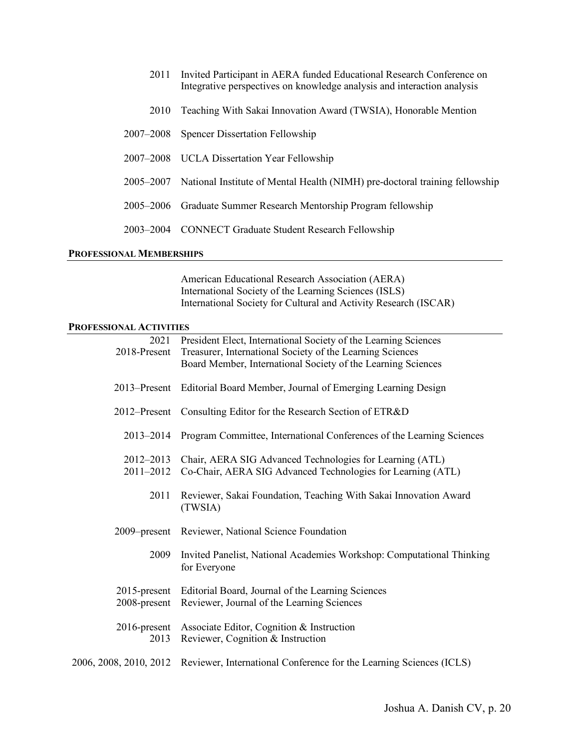- 2011 Invited Participant in AERA funded Educational Research Conference on Integrative perspectives on knowledge analysis and interaction analysis
- 2010 Teaching With Sakai Innovation Award (TWSIA), Honorable Mention
- 2007–2008 Spencer Dissertation Fellowship
- 2007–2008 UCLA Dissertation Year Fellowship
- 2005–2007 National Institute of Mental Health (NIMH) pre-doctoral training fellowship
- 2005–2006 Graduate Summer Research Mentorship Program fellowship
- 2003–2004 CONNECT Graduate Student Research Fellowship

#### **PROFESSIONAL MEMBERSHIPS**

American Educational Research Association (AERA) International Society of the Learning Sciences (ISLS) International Society for Cultural and Activity Research (ISCAR)

#### **PROFESSIONAL ACTIVITIES**

| 2021                            | President Elect, International Society of the Learning Sciences                                 |
|---------------------------------|-------------------------------------------------------------------------------------------------|
| 2018-Present                    | Treasurer, International Society of the Learning Sciences                                       |
|                                 | Board Member, International Society of the Learning Sciences                                    |
| 2013–Present                    | Editorial Board Member, Journal of Emerging Learning Design                                     |
| 2012–Present                    | Consulting Editor for the Research Section of ETR&D                                             |
| 2013-2014                       | Program Committee, International Conferences of the Learning Sciences                           |
| 2012-2013                       | Chair, AERA SIG Advanced Technologies for Learning (ATL)                                        |
| 2011-2012                       | Co-Chair, AERA SIG Advanced Technologies for Learning (ATL)                                     |
| 2011                            | Reviewer, Sakai Foundation, Teaching With Sakai Innovation Award<br>(TWSIA)                     |
| 2009–present                    | Reviewer, National Science Foundation                                                           |
| 2009                            | Invited Panelist, National Academies Workshop: Computational Thinking<br>for Everyone           |
| $2015$ -present<br>2008-present | Editorial Board, Journal of the Learning Sciences<br>Reviewer, Journal of the Learning Sciences |
| $2016$ -present<br>2013         | Associate Editor, Cognition & Instruction<br>Reviewer, Cognition & Instruction                  |
| 2006, 2008, 2010, 2012          | Reviewer, International Conference for the Learning Sciences (ICLS)                             |